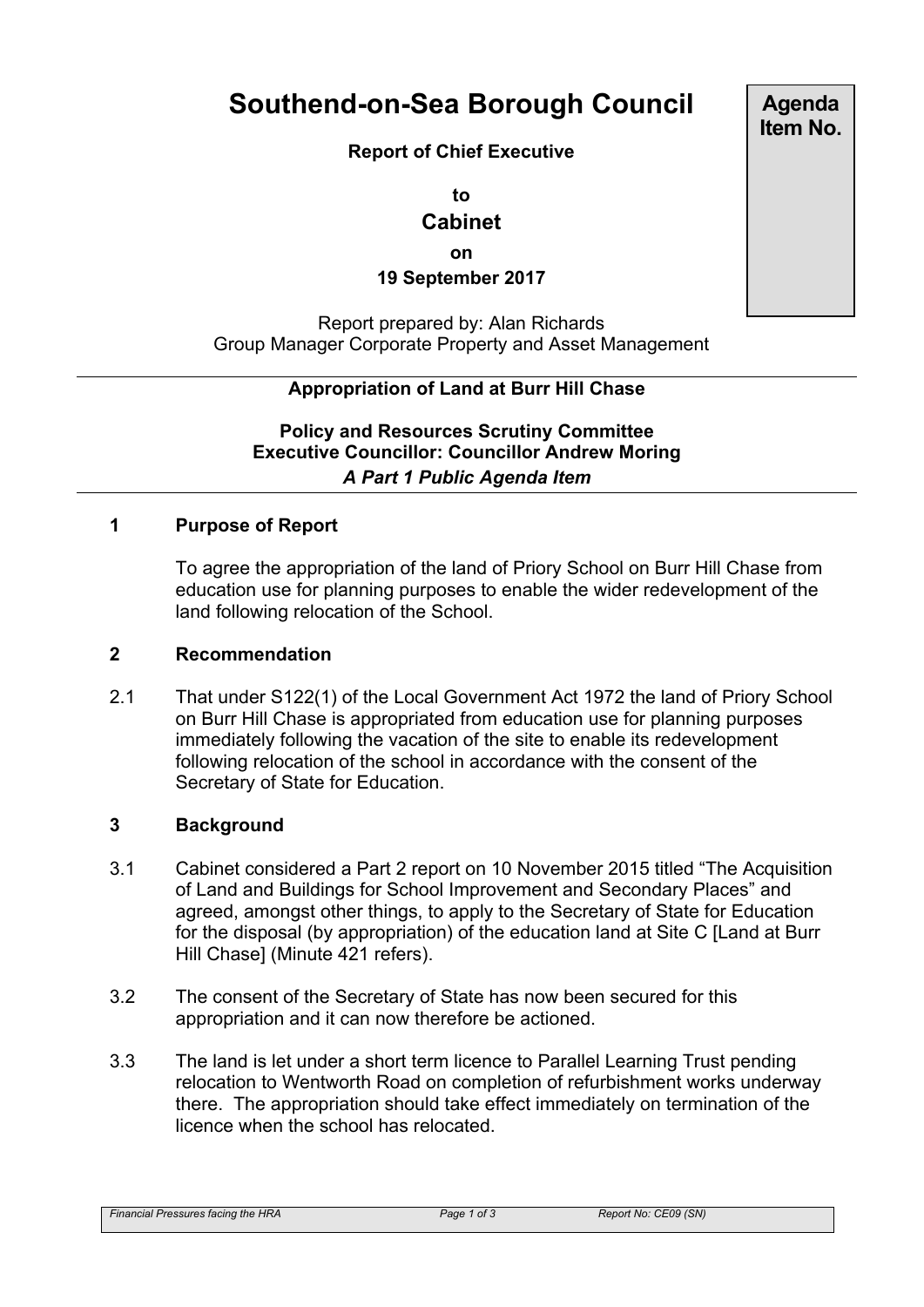# **Southend-on-Sea Borough Council**

**Report of Chief Executive**

**to**

### **Cabinet**

**on**

**19 September 2017**

Report prepared by: Alan Richards Group Manager Corporate Property and Asset Management

# **Appropriation of Land at Burr Hill Chase**

**Policy and Resources Scrutiny Committee Executive Councillor: Councillor Andrew Moring** *A Part 1 Public Agenda Item*

#### **1 Purpose of Report**

To agree the appropriation of the land of Priory School on Burr Hill Chase from education use for planning purposes to enable the wider redevelopment of the land following relocation of the School.

#### **2 Recommendation**

2.1 That under S122(1) of the Local Government Act 1972 the land of Priory School on Burr Hill Chase is appropriated from education use for planning purposes immediately following the vacation of the site to enable its redevelopment following relocation of the school in accordance with the consent of the Secretary of State for Education.

#### **3 Background**

- 3.1 Cabinet considered a Part 2 report on 10 November 2015 titled "The Acquisition of Land and Buildings for School Improvement and Secondary Places" and agreed, amongst other things, to apply to the Secretary of State for Education for the disposal (by appropriation) of the education land at Site C [Land at Burr Hill Chase] (Minute 421 refers).
- 3.2 The consent of the Secretary of State has now been secured for this appropriation and it can now therefore be actioned.
- 3.3 The land is let under a short term licence to Parallel Learning Trust pending relocation to Wentworth Road on completion of refurbishment works underway there. The appropriation should take effect immediately on termination of the licence when the school has relocated.

**Agenda Item No.**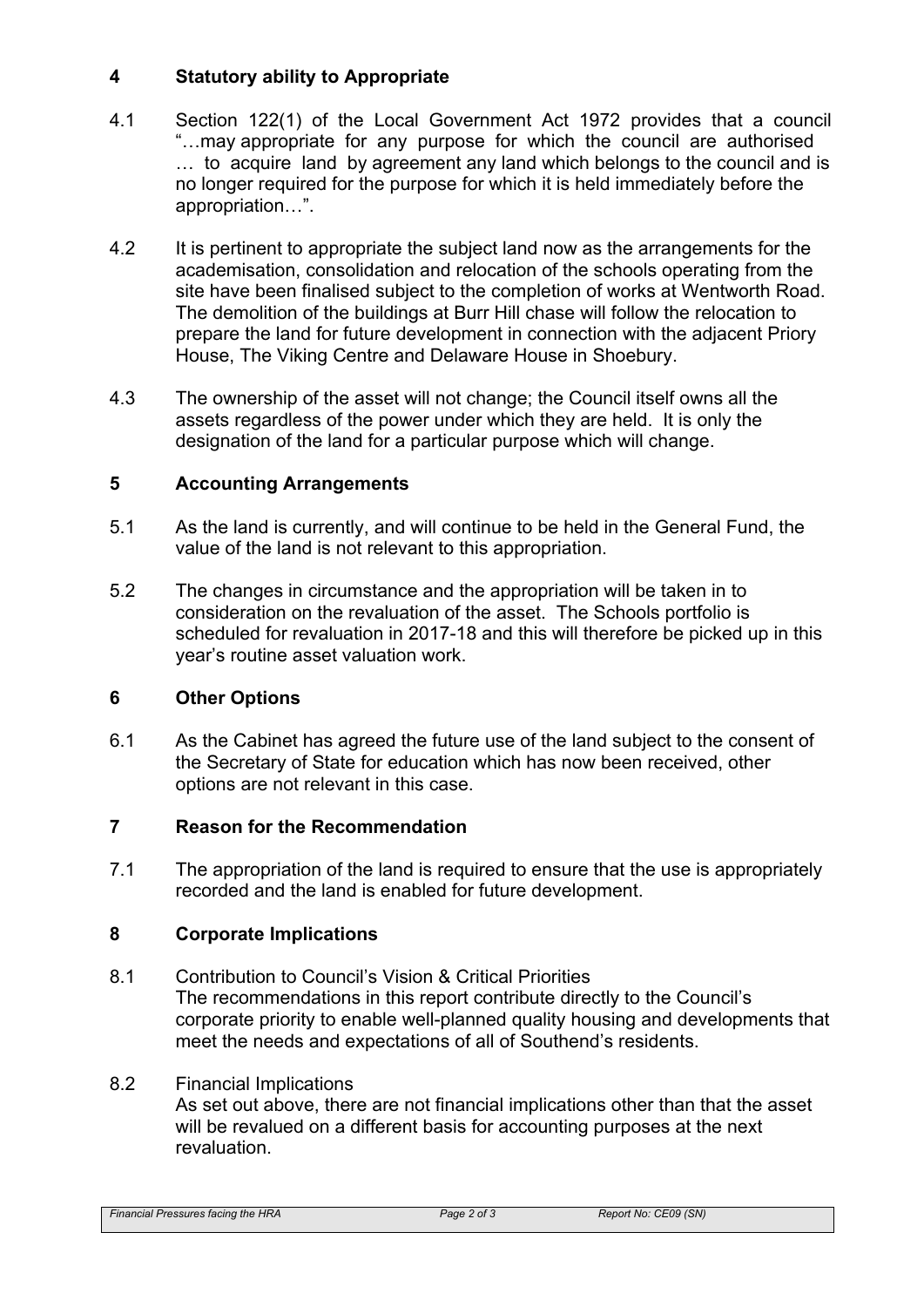### **4 Statutory ability to Appropriate**

- 4.1 Section 122(1) of the Local Government Act 1972 provides that a council "…may appropriate for any purpose for which the council are authorised … to acquire land by agreement any land which belongs to the council and is no longer required for the purpose for which it is held immediately before the appropriation…".
- 4.2 It is pertinent to appropriate the subject land now as the arrangements for the academisation, consolidation and relocation of the schools operating from the site have been finalised subject to the completion of works at Wentworth Road. The demolition of the buildings at Burr Hill chase will follow the relocation to prepare the land for future development in connection with the adjacent Priory House, The Viking Centre and Delaware House in Shoebury.
- 4.3 The ownership of the asset will not change; the Council itself owns all the assets regardless of the power under which they are held. It is only the designation of the land for a particular purpose which will change.

# **5 Accounting Arrangements**

- 5.1 As the land is currently, and will continue to be held in the General Fund, the value of the land is not relevant to this appropriation.
- 5.2 The changes in circumstance and the appropriation will be taken in to consideration on the revaluation of the asset. The Schools portfolio is scheduled for revaluation in 2017-18 and this will therefore be picked up in this year's routine asset valuation work.

### **6 Other Options**

6.1 As the Cabinet has agreed the future use of the land subject to the consent of the Secretary of State for education which has now been received, other options are not relevant in this case.

### **7 Reason for the Recommendation**

7.1 The appropriation of the land is required to ensure that the use is appropriately recorded and the land is enabled for future development.

### **8 Corporate Implications**

8.1 Contribution to Council's Vision & Critical Priorities The recommendations in this report contribute directly to the Council's corporate priority to enable well-planned quality housing and developments that meet the needs and expectations of all of Southend's residents.

### 8.2 Financial Implications

As set out above, there are not financial implications other than that the asset will be revalued on a different basis for accounting purposes at the next revaluation.